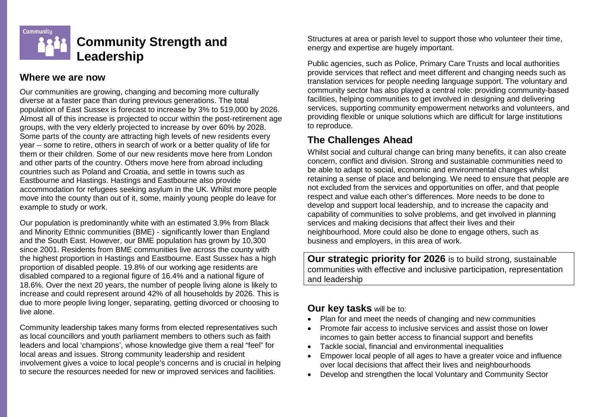

## **Where we are now**

Our communities are growing, changing and becoming more culturally diverse at a faster pace than during previous generations. The total population of East Sussex is forecast to increase by 3% to 519,000 by 2026. Almost all of this increase is projected to occur within the post-retirement age groups, with the very elderly projected to increase by over 60% by 2028. Some parts of the county are attracting high levels of new residents every year – some to retire, others in search of work or a better quality of life for them or their children. Some of our new residents move here from London and other parts of the country. Others move here from abroad including countries such as Poland and Croatia, and settle in towns such as Eastbourne and Hastings. Hastings and Eastbourne also provide accommodation for refugees seeking asylum in the UK. Whilst more people move into the county than out of it, some, mainly young people do leave for example to study or work.

Our population is predominantly white with an estimated 3.9% from Black and Minority Ethnic communities (BME) - significantly lower than England and the South East. However, our BME population has grown by 10,300 since 2001. Residents from BME communities live across the county with the highest proportion in Hastings and Eastbourne. East Sussex has a high proportion of disabled people. 19.8% of our working age residents are disabled compared to a regional figure of 16.4% and a national figure of 18.6%. Over the next 20 years, the number of people living alone is likely to increase and could represent around 42% of all households by 2026. This is due to more people living longer, separating, getting divorced or choosing to live alone.

Community leadership takes many forms from elected representatives such as local councillors and youth parliament members to others such as faith leaders and local 'champions', whose knowledge give them a real "feel" for local areas and issues. Strong community leadership and resident involvement gives a voice to local people's concerns and is crucial in helping to secure the resources needed for new or improved services and facilities.

Structures at area or parish level to support those who volunteer their time, energy and expertise are hugely important.

Public agencies, such as Police, Primary Care Trusts and local authorities provide services that reflect and meet different and changing needs such as translation services for people needing language support. The voluntary and community sector has also played a central role: providing community-based facilities, helping communities to get involved in designing and delivering services, supporting community empowerment networks and volunteers, and providing flexible or unique solutions which are difficult for large institutions to reproduce.

## **The Challenges Ahead**

Whilst social and cultural change can bring many benefits, it can also create concern, conflict and division. Strong and sustainable communities need to be able to adapt to social, economic and environmental changes whilst retaining a sense of place and belonging. We need to ensure that people are not excluded from the services and opportunities on offer, and that people respect and value each other's differences. More needs to be done to develop and support local leadership, and to increase the capacity and capability of communities to solve problems, and get involved in planning services and making decisions that affect their lives and their neighbourhood. More could also be done to engage others, such as business and employers, in this area of work.

**Our strategic priority for 2026** is to build strong, sustainable communities with effective and inclusive participation, representation and leadership

## **Our key tasks** will be to:

- Plan for and meet the needs of changing and new communities
- Promote fair access to inclusive services and assist those on lower incomes to gain better access to financial support and benefits
- Tackle social, financial and environmental inequalities
- Empower local people of all ages to have a greater voice and influence over local decisions that affect their lives and neighbourhoods
- Develop and strengthen the local Voluntary and Community Sector